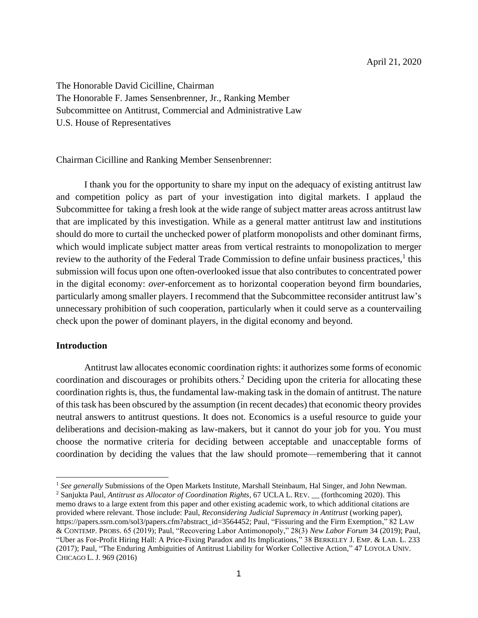The Honorable David Cicilline, Chairman The Honorable F. James Sensenbrenner, Jr., Ranking Member Subcommittee on Antitrust, Commercial and Administrative Law U.S. House of Representatives

Chairman Cicilline and Ranking Member Sensenbrenner:

I thank you for the opportunity to share my input on the adequacy of existing antitrust law and competition policy as part of your investigation into digital markets. I applaud the Subcommittee for taking a fresh look at the wide range of subject matter areas across antitrust law that are implicated by this investigation. While as a general matter antitrust law and institutions should do more to curtail the unchecked power of platform monopolists and other dominant firms, which would implicate subject matter areas from vertical restraints to monopolization to merger review to the authority of the Federal Trade Commission to define unfair business practices, $<sup>1</sup>$  this</sup> submission will focus upon one often-overlooked issue that also contributes to concentrated power in the digital economy: *over-*enforcement as to horizontal cooperation beyond firm boundaries, particularly among smaller players. I recommend that the Subcommittee reconsider antitrust law's unnecessary prohibition of such cooperation, particularly when it could serve as a countervailing check upon the power of dominant players, in the digital economy and beyond.

#### **Introduction**

Antitrust law allocates economic coordination rights: it authorizes some forms of economic coordination and discourages or prohibits others.<sup>2</sup> Deciding upon the criteria for allocating these coordination rights is, thus, the fundamental law-making task in the domain of antitrust. The nature of this task has been obscured by the assumption (in recent decades) that economic theory provides neutral answers to antitrust questions. It does not. Economics is a useful resource to guide your deliberations and decision-making as law-makers, but it cannot do your job for you. You must choose the normative criteria for deciding between acceptable and unacceptable forms of coordination by deciding the values that the law should promote—remembering that it cannot

<sup>&</sup>lt;sup>1</sup> See generally Submissions of the Open Markets Institute, Marshall Steinbaum, Hal Singer, and John Newman. <sup>2</sup> Sanjukta Paul, *Antitrust as Allocator of Coordination Rights*, 67 UCLA L. REV. \_\_ (forthcoming 2020). This

memo draws to a large extent from this paper and other existing academic work, to which additional citations are provided where relevant. Those include: Paul, *Reconsidering Judicial Supremacy in Antitrust* (working paper), https://papers.ssrn.com/sol3/papers.cfm?abstract\_id=3564452; Paul, "Fissuring and the Firm Exemption," 82 LAW & CONTEMP. PROBS. 65 (2019); Paul, "Recovering Labor Antimonopoly," 28(3) *New Labor Forum* 34 (2019); Paul, "Uber as For-Profit Hiring Hall: A Price-Fixing Paradox and Its Implications," 38 BERKELEY J. EMP. & LAB. L. 233 (2017); Paul, "The Enduring Ambiguities of Antitrust Liability for Worker Collective Action," 47 LOYOLA UNIV. CHICAGO L. J. 969 (2016)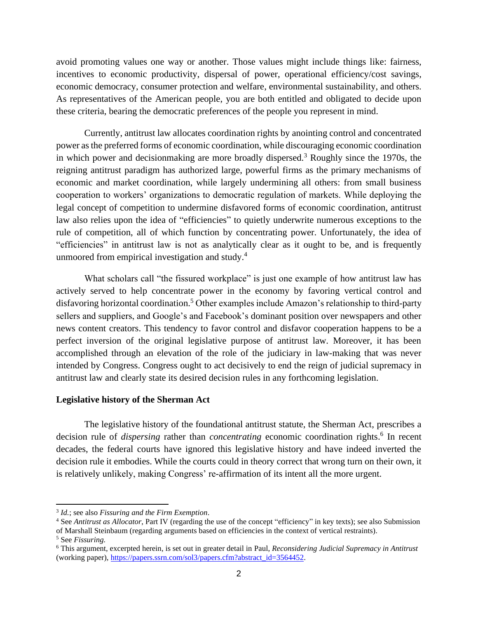avoid promoting values one way or another. Those values might include things like: fairness, incentives to economic productivity, dispersal of power, operational efficiency/cost savings, economic democracy, consumer protection and welfare, environmental sustainability, and others. As representatives of the American people, you are both entitled and obligated to decide upon these criteria, bearing the democratic preferences of the people you represent in mind.

Currently, antitrust law allocates coordination rights by anointing control and concentrated power as the preferred forms of economic coordination, while discouraging economic coordination in which power and decisionmaking are more broadly dispersed.<sup>3</sup> Roughly since the 1970s, the reigning antitrust paradigm has authorized large, powerful firms as the primary mechanisms of economic and market coordination, while largely undermining all others: from small business cooperation to workers' organizations to democratic regulation of markets. While deploying the legal concept of competition to undermine disfavored forms of economic coordination, antitrust law also relies upon the idea of "efficiencies" to quietly underwrite numerous exceptions to the rule of competition, all of which function by concentrating power. Unfortunately, the idea of "efficiencies" in antitrust law is not as analytically clear as it ought to be, and is frequently unmoored from empirical investigation and study.<sup>4</sup>

What scholars call "the fissured workplace" is just one example of how antitrust law has actively served to help concentrate power in the economy by favoring vertical control and disfavoring horizontal coordination.<sup>5</sup> Other examples include Amazon's relationship to third-party sellers and suppliers, and Google's and Facebook's dominant position over newspapers and other news content creators. This tendency to favor control and disfavor cooperation happens to be a perfect inversion of the original legislative purpose of antitrust law. Moreover, it has been accomplished through an elevation of the role of the judiciary in law-making that was never intended by Congress. Congress ought to act decisively to end the reign of judicial supremacy in antitrust law and clearly state its desired decision rules in any forthcoming legislation.

#### **Legislative history of the Sherman Act**

The legislative history of the foundational antitrust statute, the Sherman Act, prescribes a decision rule of *dispersing* rather than *concentrating* economic coordination rights. 6 In recent decades, the federal courts have ignored this legislative history and have indeed inverted the decision rule it embodies. While the courts could in theory correct that wrong turn on their own, it is relatively unlikely, making Congress' re-affirmation of its intent all the more urgent.

<sup>3</sup> *Id.*; see also *Fissuring and the Firm Exemption*.

<sup>4</sup> See *Antitrust as Allocator*, Part IV (regarding the use of the concept "efficiency" in key texts); see also Submission of Marshall Steinbaum (regarding arguments based on efficiencies in the context of vertical restraints). <sup>5</sup> See *Fissuring.* 

<sup>6</sup> This argument, excerpted herein, is set out in greater detail in Paul, *Reconsidering Judicial Supremacy in Antitrust* (working paper)[, https://papers.ssrn.com/sol3/papers.cfm?abstract\\_id=3564452.](https://papers.ssrn.com/sol3/papers.cfm?abstract_id=3564452)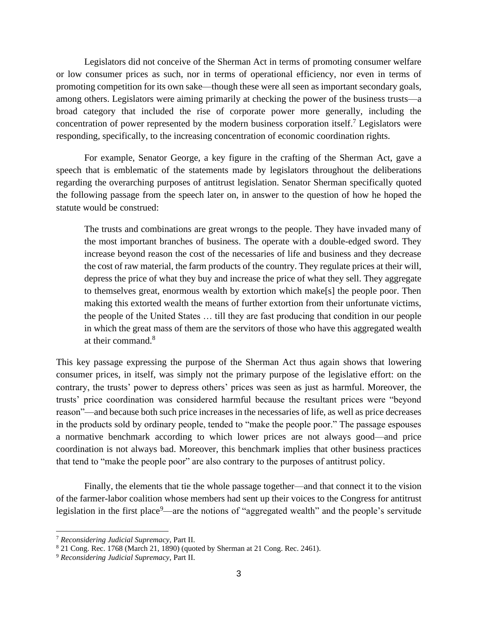Legislators did not conceive of the Sherman Act in terms of promoting consumer welfare or low consumer prices as such, nor in terms of operational efficiency, nor even in terms of promoting competition for its own sake—though these were all seen as important secondary goals, among others. Legislators were aiming primarily at checking the power of the business trusts—a broad category that included the rise of corporate power more generally, including the concentration of power represented by the modern business corporation itself. <sup>7</sup> Legislators were responding, specifically, to the increasing concentration of economic coordination rights.

For example, Senator George, a key figure in the crafting of the Sherman Act, gave a speech that is emblematic of the statements made by legislators throughout the deliberations regarding the overarching purposes of antitrust legislation. Senator Sherman specifically quoted the following passage from the speech later on, in answer to the question of how he hoped the statute would be construed:

The trusts and combinations are great wrongs to the people. They have invaded many of the most important branches of business. The operate with a double-edged sword. They increase beyond reason the cost of the necessaries of life and business and they decrease the cost of raw material, the farm products of the country. They regulate prices at their will, depress the price of what they buy and increase the price of what they sell. They aggregate to themselves great, enormous wealth by extortion which make[s] the people poor. Then making this extorted wealth the means of further extortion from their unfortunate victims, the people of the United States … till they are fast producing that condition in our people in which the great mass of them are the servitors of those who have this aggregated wealth at their command  $8$ 

This key passage expressing the purpose of the Sherman Act thus again shows that lowering consumer prices, in itself, was simply not the primary purpose of the legislative effort: on the contrary, the trusts' power to depress others' prices was seen as just as harmful. Moreover, the trusts' price coordination was considered harmful because the resultant prices were "beyond reason"—and because both such price increases in the necessaries of life, as well as price decreases in the products sold by ordinary people, tended to "make the people poor." The passage espouses a normative benchmark according to which lower prices are not always good—and price coordination is not always bad. Moreover, this benchmark implies that other business practices that tend to "make the people poor" are also contrary to the purposes of antitrust policy.

Finally, the elements that tie the whole passage together—and that connect it to the vision of the farmer-labor coalition whose members had sent up their voices to the Congress for antitrust legislation in the first place<sup>9</sup>—are the notions of "aggregated wealth" and the people's servitude

<sup>7</sup> *Reconsidering Judicial Supremacy*, Part II.

<sup>8</sup> 21 Cong. Rec. 1768 (March 21, 1890) (quoted by Sherman at 21 Cong. Rec. 2461).

<sup>9</sup> *Reconsidering Judicial Supremacy*, Part II.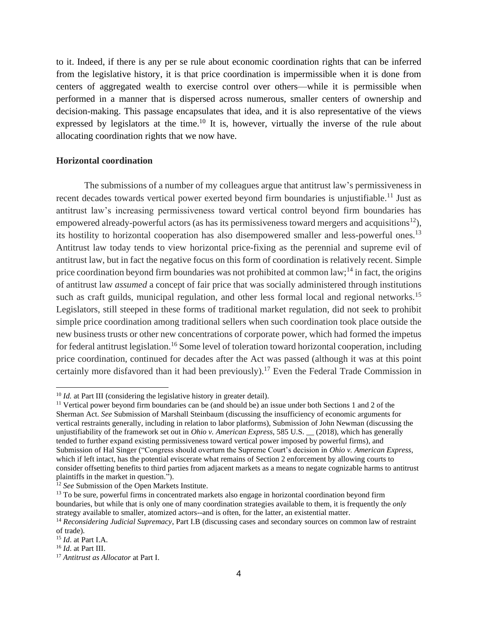to it. Indeed, if there is any per se rule about economic coordination rights that can be inferred from the legislative history, it is that price coordination is impermissible when it is done from centers of aggregated wealth to exercise control over others—while it is permissible when performed in a manner that is dispersed across numerous, smaller centers of ownership and decision-making. This passage encapsulates that idea, and it is also representative of the views expressed by legislators at the time.<sup>10</sup> It is, however, virtually the inverse of the rule about allocating coordination rights that we now have.

## **Horizontal coordination**

The submissions of a number of my colleagues argue that antitrust law's permissiveness in recent decades towards vertical power exerted beyond firm boundaries is unjustifiable.<sup>11</sup> Just as antitrust law's increasing permissiveness toward vertical control beyond firm boundaries has empowered already-powerful actors (as has its permissiveness toward mergers and acquisitions<sup>12</sup>), its hostility to horizontal cooperation has also disempowered smaller and less-powerful ones.<sup>13</sup> Antitrust law today tends to view horizontal price-fixing as the perennial and supreme evil of antitrust law, but in fact the negative focus on this form of coordination is relatively recent. Simple price coordination beyond firm boundaries was not prohibited at common  $law$ ;<sup>14</sup> in fact, the origins of antitrust law *assumed* a concept of fair price that was socially administered through institutions such as craft guilds, municipal regulation, and other less formal local and regional networks.<sup>15</sup> Legislators, still steeped in these forms of traditional market regulation, did not seek to prohibit simple price coordination among traditional sellers when such coordination took place outside the new business trusts or other new concentrations of corporate power, which had formed the impetus for federal antitrust legislation.<sup>16</sup> Some level of toleration toward horizontal cooperation, including price coordination, continued for decades after the Act was passed (although it was at this point certainly more disfavored than it had been previously). <sup>17</sup> Even the Federal Trade Commission in

<sup>&</sup>lt;sup>10</sup> *Id.* at Part III (considering the legislative history in greater detail).

<sup>11</sup> Vertical power beyond firm boundaries can be (and should be) an issue under both Sections 1 and 2 of the Sherman Act. *See* Submission of Marshall Steinbaum (discussing the insufficiency of economic arguments for vertical restraints generally, including in relation to labor platforms), Submission of John Newman (discussing the unjustifiability of the framework set out in *Ohio v. American Express,* 585 U.S. \_\_ (2018), which has generally tended to further expand existing permissiveness toward vertical power imposed by powerful firms), and Submission of Hal Singer ("Congress should overturn the Supreme Court's decision in *Ohio v. American Express*, which if left intact, has the potential eviscerate what remains of Section 2 enforcement by allowing courts to consider offsetting benefits to third parties from adjacent markets as a means to negate cognizable harms to antitrust plaintiffs in the market in question.").

<sup>&</sup>lt;sup>12</sup> *See* Submission of the Open Markets Institute.

<sup>&</sup>lt;sup>13</sup> To be sure, powerful firms in concentrated markets also engage in horizontal coordination beyond firm boundaries, but while that is only one of many coordination strategies available to them, it is frequently the *only*  strategy available to smaller, atomized actors--and is often, for the latter, an existential matter.

<sup>14</sup> *Reconsidering Judicial Supremacy*, Part I.B (discussing cases and secondary sources on common law of restraint of trade).

<sup>15</sup> *Id*. at Part I.A.

<sup>16</sup> *Id*. at Part III.

<sup>17</sup> *Antitrust as Allocator* at Part I.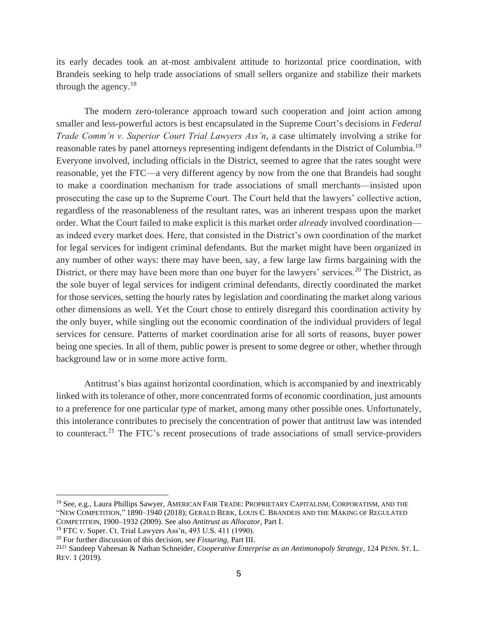its early decades took an at-most ambivalent attitude to horizontal price coordination, with Brandeis seeking to help trade associations of small sellers organize and stabilize their markets through the agency. $18$ 

The modern zero-tolerance approach toward such cooperation and joint action among smaller and less-powerful actors is best encapsulated in the Supreme Court's decisions in *Federal Trade Comm'n v. Superior Court Trial Lawyers Ass'n*, a case ultimately involving a strike for reasonable rates by panel attorneys representing indigent defendants in the District of Columbia.<sup>19</sup> Everyone involved, including officials in the District, seemed to agree that the rates sought were reasonable, yet the FTC—a very different agency by now from the one that Brandeis had sought to make a coordination mechanism for trade associations of small merchants—insisted upon prosecuting the case up to the Supreme Court. The Court held that the lawyers' collective action, regardless of the reasonableness of the resultant rates, was an inherent trespass upon the market order. What the Court failed to make explicit is this market order *already* involved coordination as indeed every market does. Here, that consisted in the District's own coordination of the market for legal services for indigent criminal defendants. But the market might have been organized in any number of other ways: there may have been, say, a few large law firms bargaining with the District, or there may have been more than one buyer for the lawyers' services.<sup>20</sup> The District, as the sole buyer of legal services for indigent criminal defendants, directly coordinated the market for those services, setting the hourly rates by legislation and coordinating the market along various other dimensions as well. Yet the Court chose to entirely disregard this coordination activity by the only buyer, while singling out the economic coordination of the individual providers of legal services for censure. Patterns of market coordination arise for all sorts of reasons, buyer power being one species. In all of them, public power is present to some degree or other, whether through background law or in some more active form.

Antitrust's bias against horizontal coordination, which is accompanied by and inextricably linked with its tolerance of other, more concentrated forms of economic coordination, just amounts to a preference for one particular *type* of market, among many other possible ones. Unfortunately, this intolerance contributes to precisely the concentration of power that antitrust law was intended to counteract.<sup>21</sup> The FTC's recent prosecutions of trade associations of small service-providers

<sup>&</sup>lt;sup>18</sup> See, e.g., Laura Phillips Sawyer, AMERICAN FAIR TRADE: PROPRIETARY CAPITALISM, CORPORATISM, AND THE "NEW COMPETITION," 1890–1940 (2018); GERALD BERK, LOUIS C. BRANDEIS AND THE MAKING OF REGULATED COMPETITION, 1900–1932 (2009). See also *Antitrust as Allocator*, Part I.

<sup>19</sup> FTC v. Super. Ct. Trial Lawyers Ass'n, 493 U.S. 411 (1990).

<sup>20</sup> For further discussion of this decision, see *Fissuring*, Part III.

<sup>21</sup><sup>21</sup> Sandeep Vaheesan & Nathan Schneider, *Cooperative Enterprise as an Antimonopoly Strategy*, 124 PENN. ST. L. REV. 1 (2019).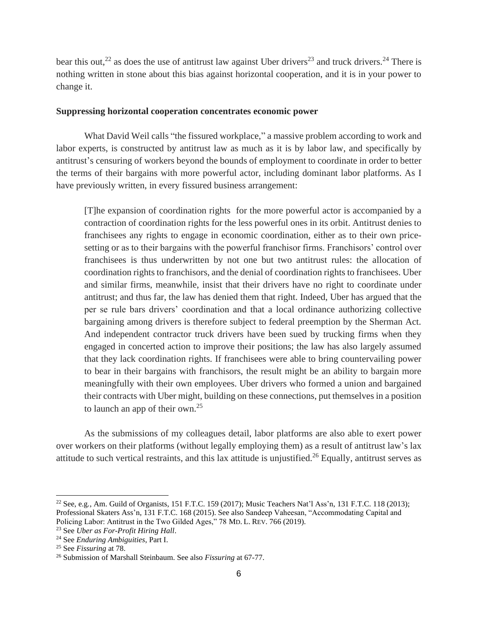bear this out,<sup>22</sup> as does the use of antitrust law against Uber drivers<sup>23</sup> and truck drivers.<sup>24</sup> There is nothing written in stone about this bias against horizontal cooperation, and it is in your power to change it.

# **Suppressing horizontal cooperation concentrates economic power**

What David Weil calls "the fissured workplace," a massive problem according to work and labor experts, is constructed by antitrust law as much as it is by labor law, and specifically by antitrust's censuring of workers beyond the bounds of employment to coordinate in order to better the terms of their bargains with more powerful actor, including dominant labor platforms. As I have previously written, in every fissured business arrangement:

[T]he expansion of coordination rights for the more powerful actor is accompanied by a contraction of coordination rights for the less powerful ones in its orbit. Antitrust denies to franchisees any rights to engage in economic coordination, either as to their own pricesetting or as to their bargains with the powerful franchisor firms. Franchisors' control over franchisees is thus underwritten by not one but two antitrust rules: the allocation of coordination rights to franchisors, and the denial of coordination rights to franchisees. Uber and similar firms, meanwhile, insist that their drivers have no right to coordinate under antitrust; and thus far, the law has denied them that right. Indeed, Uber has argued that the per se rule bars drivers' coordination and that a local ordinance authorizing collective bargaining among drivers is therefore subject to federal preemption by the Sherman Act. And independent contractor truck drivers have been sued by trucking firms when they engaged in concerted action to improve their positions; the law has also largely assumed that they lack coordination rights. If franchisees were able to bring countervailing power to bear in their bargains with franchisors, the result might be an ability to bargain more meaningfully with their own employees. Uber drivers who formed a union and bargained their contracts with Uber might, building on these connections, put themselves in a position to launch an app of their own.<sup>25</sup>

As the submissions of my colleagues detail, labor platforms are also able to exert power over workers on their platforms (without legally employing them) as a result of antitrust law's lax attitude to such vertical restraints, and this lax attitude is unjustified.<sup>26</sup> Equally, antitrust serves as

<sup>22</sup> See, e.g*.*, Am. Guild of Organists, 151 F.T.C. 159 (2017); Music Teachers Nat'l Ass'n, 131 F.T.C. 118 (2013); Professional Skaters Ass'n, 131 F.T.C. 168 (2015). See also Sandeep Vaheesan, "Accommodating Capital and Policing Labor: Antitrust in the Two Gilded Ages," 78 MD. L. REV. 766 (2019).

<sup>23</sup> See *Uber as For-Profit Hiring Hall*.

<sup>24</sup> See *Enduring Ambiguities*, Part I.

<sup>25</sup> See *Fissuring* at 78.

<sup>26</sup> Submission of Marshall Steinbaum. See also *Fissuring* at 67-77.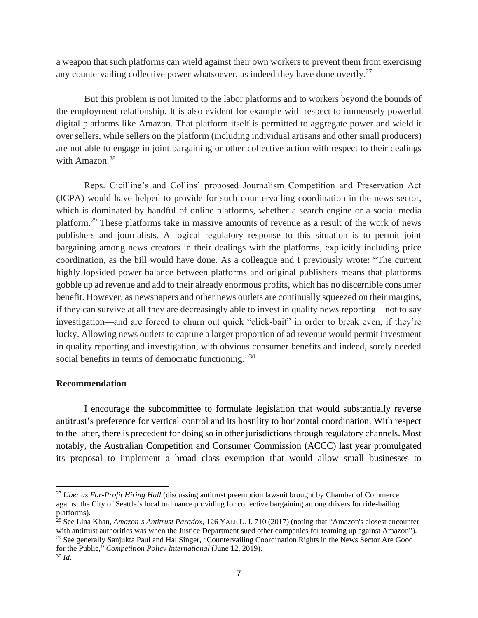a weapon that such platforms can wield against their own workers to prevent them from exercising any countervailing collective power whatsoever, as indeed they have done overtly.<sup>27</sup>

But this problem is not limited to the labor platforms and to workers beyond the bounds of the employment relationship. It is also evident for example with respect to immensely powerful digital platforms like Amazon. That platform itself is permitted to aggregate power and wield it over sellers, while sellers on the platform (including individual artisans and other small producers) are not able to engage in joint bargaining or other collective action with respect to their dealings with Amazon.<sup>28</sup>

Reps. Cicilline's and Collins' proposed Journalism Competition and Preservation Act (JCPA) would have helped to provide for such countervailing coordination in the news sector, which is dominated by handful of online platforms, whether a search engine or a social media platform.<sup>29</sup> These platforms take in massive amounts of revenue as a result of the work of news publishers and journalists. A logical regulatory response to this situation is to permit joint bargaining among news creators in their dealings with the platforms, explicitly including price coordination, as the bill would have done. As a colleague and I previously wrote: "The current highly lopsided power balance between platforms and original publishers means that platforms gobble up ad revenue and add to their already enormous profits, which has no discernible consumer benefit. However, as newspapers and other news outlets are continually squeezed on their margins, if they can survive at all they are decreasingly able to invest in quality news reporting—not to say investigation—and are forced to churn out quick "click-bait" in order to break even, if they're lucky. Allowing news outlets to capture a larger proportion of ad revenue would permit investment in quality reporting and investigation, with obvious consumer benefits and indeed, sorely needed social benefits in terms of democratic functioning."<sup>30</sup>

## **Recommendation**

I encourage the subcommittee to formulate legislation that would substantially reverse antitrust's preference for vertical control and its hostility to horizontal coordination. With respect to the latter, there is precedent for doing so in other jurisdictions through regulatory channels. Most notably, the Australian Competition and Consumer Commission (ACCC) last year promulgated its proposal to implement a broad class exemption that would allow small businesses to

<sup>27</sup> *Uber as For-Profit Hiring Hall* (discussing antitrust preemption lawsuit brought by Chamber of Commerce against the City of Seattle's local ordinance providing for collective bargaining among drivers for ride-hailing platforms).

<sup>28</sup> See Lina Khan, *Amazon's Antitrust Paradox*, 126 YALE L. J. 710 (2017) (noting that "Amazon's closest encounter with antitrust authorities was when the Justice Department sued other companies for teaming up against Amazon"). <sup>29</sup> See generally Sanjukta Paul and Hal Singer, "Countervailing Coordination Rights in the News Sector Are Good for the Public," *Competition Policy International* (June 12, 2019). <sup>30</sup> *Id.*